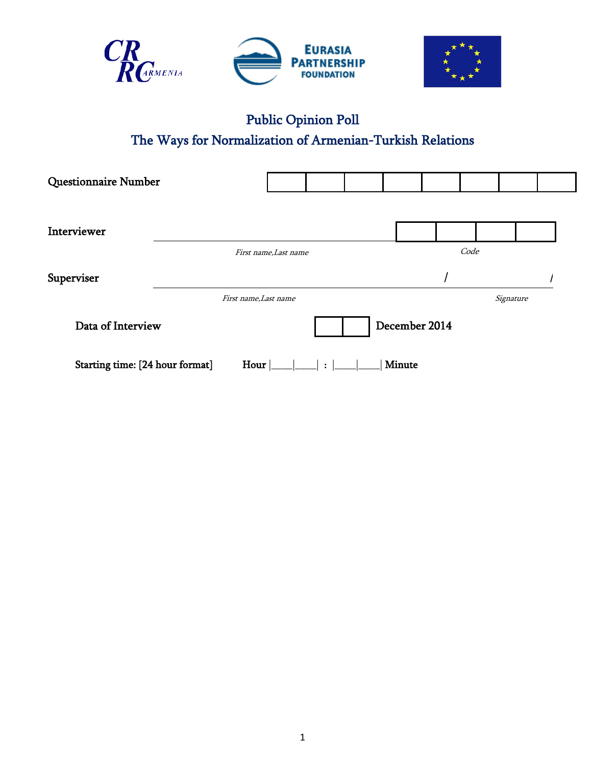



# Public Opinion Poll The Ways for Normalization of Armenian-Turkish Relations

| <b>Questionnaire Number</b>     |                       |                       |            |  |        |               |      |           |  |
|---------------------------------|-----------------------|-----------------------|------------|--|--------|---------------|------|-----------|--|
| Interviewer                     |                       |                       |            |  |        |               |      |           |  |
|                                 |                       | First name, Last name |            |  |        |               | Code |           |  |
| Superviser                      |                       |                       |            |  |        |               |      |           |  |
|                                 | First name, Last name |                       |            |  |        |               |      | Signature |  |
| Data of Interview               |                       |                       |            |  |        | December 2014 |      |           |  |
| Starting time: [24 hour format] | Hour $\vert$          |                       | $\Box$ : 1 |  | Minute |               |      |           |  |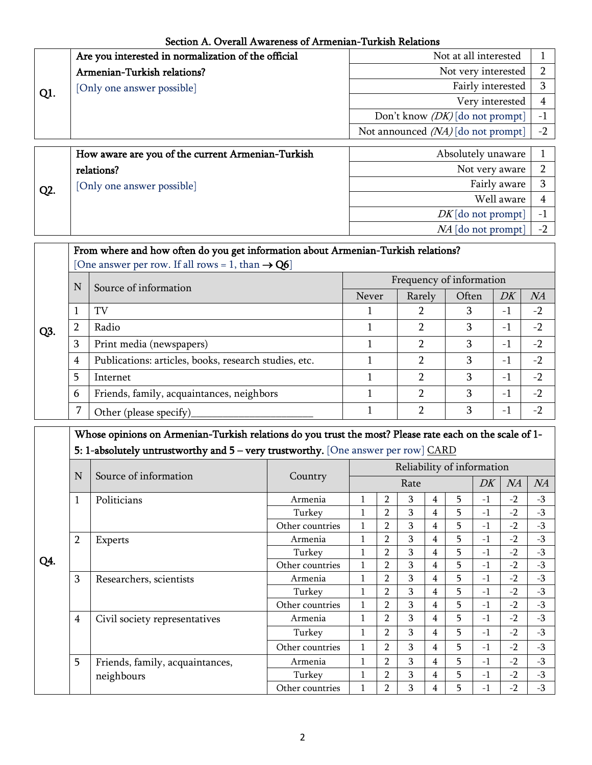Section A. Overall Awareness of Armenian-Turkish Relations

|     | Are you interested in normalization of the official | Not at all interested                |      |  |  |  |
|-----|-----------------------------------------------------|--------------------------------------|------|--|--|--|
|     | Armenian-Turkish relations?                         | Not very interested                  |      |  |  |  |
| Q1. | [Only one answer possible]                          | Fairly interested                    |      |  |  |  |
|     |                                                     | Very interested                      |      |  |  |  |
|     |                                                     | Don't know $(DK)$ [do not prompt]    |      |  |  |  |
|     |                                                     | Not announced $(NA)$ [do not prompt] | $-2$ |  |  |  |
|     |                                                     |                                      |      |  |  |  |
|     | How aware are you of the current Armenian-Turkish   | Absolutely unaware                   |      |  |  |  |

|                  | How aware are you of the current Armenian-Turkish | Absolutely unaware   |  |
|------------------|---------------------------------------------------|----------------------|--|
|                  | relations?                                        | Not very aware       |  |
| Q <sub>2</sub> . | [Only one answer possible]                        | Fairly aware         |  |
|                  |                                                   | Well aware           |  |
|                  |                                                   | $DK$ [do not prompt] |  |
|                  |                                                   | $NA$ [do not prompt] |  |

| [One answer per row. If all rows = 1, than $\rightarrow$ Q6]<br>Frequency of information<br>N<br>Source of information<br>DK<br>Often<br><b>Never</b><br>Rarely | NA<br>$-2$ |
|-----------------------------------------------------------------------------------------------------------------------------------------------------------------|------------|
|                                                                                                                                                                 |            |
|                                                                                                                                                                 |            |
|                                                                                                                                                                 |            |
| TV<br>3<br>2<br>$-1$                                                                                                                                            |            |
| 2<br>Radio<br>3<br>2<br>$-1$<br>Q3.                                                                                                                             | $-2$       |
| 2<br>3<br>3<br>Print media (newspapers)<br>$-1$                                                                                                                 | $-2$       |
| 2<br>3<br>Publications: articles, books, research studies, etc.<br>4<br>$-1$                                                                                    | $-2$       |
| 5<br>$\mathcal{P}$<br>3<br>$-1$<br>Internet                                                                                                                     | $-2$       |
| 3<br>2<br>Friends, family, acquaintances, neighbors<br>$-1$<br>6                                                                                                | $-2$       |
| 2<br>3<br>$-1$<br>Other (please specify)                                                                                                                        | $-2$       |

| Whose opinions on Armenian-Turkish relations do you trust the most? Please rate each on the scale of 1- |
|---------------------------------------------------------------------------------------------------------|
| <b>5: 1-absolutely untrustworthy and 5 – very trustworthy.</b> [One answer per row] $\overline{CARD}$   |

|     | N              | Source of information           |                 | Reliability of information |                |   |   |    |      |      |      |
|-----|----------------|---------------------------------|-----------------|----------------------------|----------------|---|---|----|------|------|------|
|     |                |                                 | Country         | Rate                       |                |   |   |    | DK   | NA   | NA   |
|     | $\mathbf{1}$   | Politicians                     | Armenia         |                            | $\overline{2}$ | 3 | 4 | 5  | $-1$ | $-2$ | $-3$ |
|     |                |                                 | Turkey          |                            | $\overline{2}$ | 3 | 4 | 5  | $-1$ | $-2$ | $-3$ |
|     |                |                                 | Other countries |                            | $\overline{2}$ | 3 | 4 | 5. | $-1$ | $-2$ | $-3$ |
|     | $\overline{2}$ | <b>Experts</b>                  | Armenia         | 1                          | $\overline{2}$ | 3 | 4 | 5. | $-1$ | $-2$ | $-3$ |
| Q4. |                |                                 | Turkey          |                            | $\overline{2}$ | 3 | 4 | 5. | $-1$ | $-2$ | $-3$ |
|     |                |                                 | Other countries |                            | $\overline{2}$ | 3 | 4 | 5. | $-1$ | $-2$ | $-3$ |
|     | 3              | Researchers, scientists         | Armenia         |                            | $\overline{2}$ | 3 | 4 | 5. | $-1$ | $-2$ | $-3$ |
|     |                |                                 | Turkey          |                            | $\overline{2}$ | 3 | 4 | 5. | $-1$ | $-2$ | $-3$ |
|     |                |                                 | Other countries |                            | $\overline{2}$ | 3 | 4 | 5. | $-1$ | $-2$ | $-3$ |
|     | 4              | Civil society representatives   | Armenia         |                            | $\overline{2}$ | 3 | 4 | 5. | $-1$ | $-2$ | $-3$ |
|     |                |                                 | Turkey          |                            | $\overline{2}$ | 3 | 4 | 5. | $-1$ | $-2$ | $-3$ |
|     |                |                                 | Other countries | 1                          | $\overline{2}$ | 3 | 4 | 5. | $-1$ | $-2$ | $-3$ |
|     | 5              | Friends, family, acquaintances, | Armenia         | 1                          | $\overline{2}$ | 3 | 4 | 5. | $-1$ | $-2$ | $-3$ |
|     |                | neighbours                      | Turkey          |                            | $\overline{2}$ | 3 | 4 | 5. | $-1$ | $-2$ | $-3$ |
|     |                |                                 | Other countries |                            | $\overline{2}$ | 3 | 4 | 5. | $-1$ | $-2$ | $-3$ |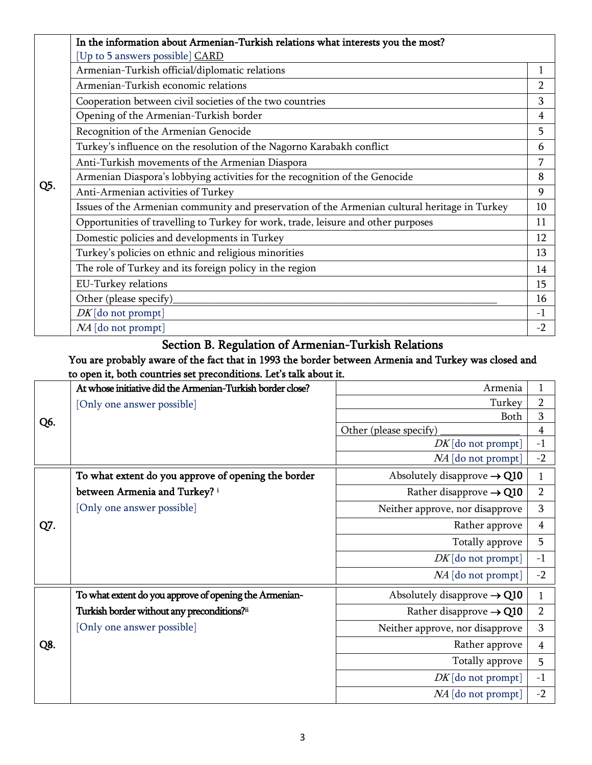|     | In the information about Armenian-Turkish relations what interests you the most?              |                |
|-----|-----------------------------------------------------------------------------------------------|----------------|
|     | [Up to 5 answers possible] CARD                                                               |                |
|     | Armenian-Turkish official/diplomatic relations                                                | 1              |
|     | Armenian-Turkish economic relations                                                           | $\overline{2}$ |
|     | Cooperation between civil societies of the two countries                                      | 3              |
|     | Opening of the Armenian-Turkish border                                                        | 4              |
|     | Recognition of the Armenian Genocide                                                          | 5              |
|     | Turkey's influence on the resolution of the Nagorno Karabakh conflict                         | 6              |
|     | Anti-Turkish movements of the Armenian Diaspora                                               | 7              |
|     | Armenian Diaspora's lobbying activities for the recognition of the Genocide                   | 8              |
| Q5. | Anti-Armenian activities of Turkey                                                            | 9              |
|     | Issues of the Armenian community and preservation of the Armenian cultural heritage in Turkey | 10             |
|     | Opportunities of travelling to Turkey for work, trade, leisure and other purposes             | 11             |
|     | Domestic policies and developments in Turkey                                                  | 12             |
|     | Turkey's policies on ethnic and religious minorities                                          | 13             |
|     | The role of Turkey and its foreign policy in the region                                       | 14             |
|     | <b>EU-Turkey relations</b>                                                                    | 15             |
|     | Other (please specify)                                                                        | 16             |
|     | $DK$ [do not prompt]                                                                          | $-1$           |
|     | NA [do not prompt]                                                                            | $-2$           |

## Section B. Regulation of Armenian-Turkish Relations

#### You are probably aware of the fact that in 1993 the border between Armenia and Turkey was closed and to open it, both countries set preconditions. Let's talk about it.

|     | At whose initiative did the Armenian-Turkish border close? | Armenia                                 | $\mathbf{1}$   |
|-----|------------------------------------------------------------|-----------------------------------------|----------------|
|     | [Only one answer possible]                                 | Turkey                                  | 2              |
| Q6. |                                                            | Both                                    | 3              |
|     |                                                            | Other (please specify)                  | $\overline{4}$ |
|     |                                                            | $DK$ [do not prompt]                    | $-1$           |
|     |                                                            | NA [do not prompt]                      | $-2$           |
|     | To what extent do you approve of opening the border        | Absolutely disapprove $\rightarrow$ Q10 | $\mathbf{1}$   |
|     | between Armenia and Turkey? i                              | Rather disapprove $\rightarrow$ Q10     | $\overline{2}$ |
|     | [Only one answer possible]                                 | Neither approve, nor disapprove         | 3              |
| Q7. |                                                            | Rather approve                          | $\overline{4}$ |
|     |                                                            | Totally approve                         | 5              |
|     |                                                            | $DK$ [do not prompt]                    | $-1$           |
|     |                                                            | $NA$ [do not prompt]                    | $-2$           |
|     | To what extent do you approve of opening the Armenian-     | Absolutely disapprove $\rightarrow$ Q10 | 1              |
|     | Turkish border without any preconditions?ii                | Rather disapprove $\rightarrow$ Q10     | $\overline{2}$ |
|     | [Only one answer possible]                                 | Neither approve, nor disapprove         | 3              |
| Q8. |                                                            | Rather approve                          | $\overline{4}$ |
|     |                                                            | Totally approve                         | 5              |
|     |                                                            | $DK$ [do not prompt]                    | $-1$           |
|     |                                                            | $NA$ [do not prompt]                    | $-2$           |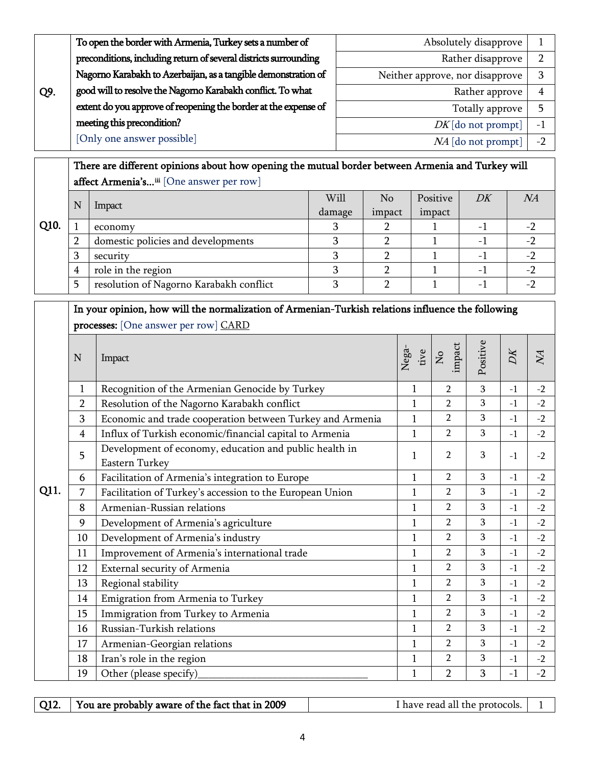|     | To open the border with Armenia, Turkey sets a number of         | Absolutely disapprove           |                          |  |  |  |
|-----|------------------------------------------------------------------|---------------------------------|--------------------------|--|--|--|
|     | preconditions, including return of several districts surrounding | Rather disapprove               |                          |  |  |  |
|     | Nagorno Karabakh to Azerbaijan, as a tangible demonstration of   | Neither approve, nor disapprove |                          |  |  |  |
| Q9. | good will to resolve the Nagorno Karabakh conflict. To what      | Rather approve                  |                          |  |  |  |
|     | extent do you approve of reopening the border at the expense of  | Totally approve                 |                          |  |  |  |
|     | meeting this precondition?                                       | $DK$ [do not prompt]            | $\overline{\phantom{0}}$ |  |  |  |
|     | [Only one answer possible]                                       | NA [do not prompt]              |                          |  |  |  |

# There are different opinions about how opening the mutual border between Armenia and Turkey will affect Armenia's...<sup>iii</sup> [One answer per row]

|      | N  |                                         | Will   | No     | Positive | DK | NA |
|------|----|-----------------------------------------|--------|--------|----------|----|----|
|      |    | Impact                                  | damage | impact | impact   |    |    |
| Q10. |    | economy                                 |        |        |          |    |    |
|      |    | domestic policies and developments      |        |        |          |    |    |
|      | רז | security                                |        |        |          |    |    |
|      | 4  | role in the region                      |        |        |          |    |    |
|      |    | resolution of Nagorno Karabakh conflict |        |        |          |    |    |

## In your opinion, how will the normalization of Armenian-Turkish relations influence the following processes: [One answer per row] CARD

|      | N              | Impact                                                                   | Nega-<br>tive | impact<br>$\mathsf{S}$ | Positive | $\overline{D}$ K | $\overline{M}$ |
|------|----------------|--------------------------------------------------------------------------|---------------|------------------------|----------|------------------|----------------|
|      | $\mathbf{1}$   | Recognition of the Armenian Genocide by Turkey                           | $\mathbf{1}$  | $\overline{2}$         | 3        | $-1$             | $-2$           |
|      | 2              | Resolution of the Nagorno Karabakh conflict                              | $\mathbf{1}$  | $\overline{2}$         | 3        | $-1$             | $-2$           |
|      | 3              | Economic and trade cooperation between Turkey and Armenia                | $\mathbf{1}$  | $\overline{2}$         | 3        | $-1$             | $-2$           |
|      | $\overline{4}$ | Influx of Turkish economic/financial capital to Armenia                  | $\mathbf{1}$  | $\overline{2}$         | 3        | $-1$             | $-2$           |
|      | 5              | Development of economy, education and public health in<br>Eastern Turkey | 1             | $\overline{2}$         | 3        | $-1$             | $-2$           |
| Q11. | 6              | Facilitation of Armenia's integration to Europe                          | $\mathbf{1}$  | $\overline{2}$         | 3        | $-1$             | $-2$           |
|      | 7              | Facilitation of Turkey's accession to the European Union                 | $\mathbf{1}$  | $\overline{2}$         | 3        | $-1$             | $-2$           |
|      | 8              | Armenian-Russian relations                                               | 1             | $\overline{2}$         | 3        | $-1$             | $-2$           |
|      | 9              | Development of Armenia's agriculture                                     | $\mathbf{1}$  | $\overline{2}$         | 3        | $-1$             | $-2$           |
|      | 10             | Development of Armenia's industry                                        | $\mathbf{1}$  | $\overline{2}$         | 3        | $-1$             | $-2$           |
|      | 11             | Improvement of Armenia's international trade                             | $\mathbf{1}$  | $\overline{2}$         | 3        | $-1$             | $-2$           |
|      | 12             | External security of Armenia                                             | 1             | $\overline{2}$         | 3        | $-1$             | $-2$           |
|      | 13             | Regional stability                                                       | $\mathbf{1}$  | $\overline{2}$         | 3        | $-1$             | $-2$           |
|      | 14             | Emigration from Armenia to Turkey                                        | $\mathbf{1}$  | $\overline{2}$         | 3        | $-1$             | $-2$           |
|      | 15             | Immigration from Turkey to Armenia                                       | $\mathbf{1}$  | $\overline{2}$         | 3        | $-1$             | $-2$           |
|      | 16             | Russian-Turkish relations                                                | $\mathbf{1}$  | $\overline{2}$         | 3        | $-1$             | $-2$           |
|      | 17             | Armenian-Georgian relations                                              | $\mathbf{1}$  | $\overline{2}$         | 3        | $-1$             | $-2$           |
|      | 18             | Iran's role in the region                                                | $\mathbf{1}$  | $\overline{2}$         | 3        | $-1$             | $-2$           |
|      | 19             | Other (please specify)                                                   | 1             | $\overline{2}$         | 3        | $-1$             | $-2$           |

| Q12. | You are probably aware of the fact that in 2009 | I have read all the protocols. |  |
|------|-------------------------------------------------|--------------------------------|--|
|------|-------------------------------------------------|--------------------------------|--|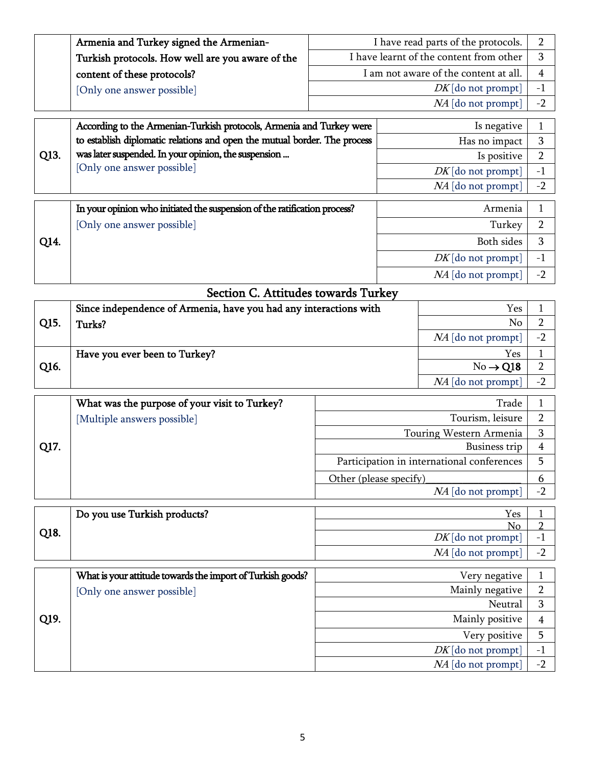| Armenia and Turkey signed the Armenian-          | I have read parts of the protocols.     |      |
|--------------------------------------------------|-----------------------------------------|------|
| Turkish protocols. How well are you aware of the | I have learnt of the content from other |      |
| content of these protocols?                      | I am not aware of the content at all.   |      |
| [Only one answer possible]                       | $DK$ [do not prompt]                    | $-1$ |
|                                                  | $NA$ [do not prompt]                    | $-2$ |

|                                                                                            | According to the Armenian-Turkish protocols, Armenia and Turkey were      | Is negative          |                          |
|--------------------------------------------------------------------------------------------|---------------------------------------------------------------------------|----------------------|--------------------------|
|                                                                                            | to establish diplomatic relations and open the mutual border. The process | Has no impact        |                          |
| was later suspended. In your opinion, the suspension<br>Q13.<br>[Only one answer possible] | Is positive                                                               |                      |                          |
|                                                                                            |                                                                           | $DK$ [do not prompt] | $\overline{\phantom{m}}$ |
|                                                                                            |                                                                           | $NA$ [do not prompt] | $-$                      |

|      | In your opinion who initiated the suspension of the ratification process? | Armenia              |           |
|------|---------------------------------------------------------------------------|----------------------|-----------|
|      | [Only one answer possible]                                                | Turkey               |           |
| Q14. |                                                                           | Both sides           |           |
|      |                                                                           | $DK$ [do not prompt] | $-1$      |
|      |                                                                           | $NA$ [do not prompt] | $ \prime$ |

| Since independence of Armenia, have you had any interactions with<br>Q15.<br>Turks? |                               | Yes                  |      |
|-------------------------------------------------------------------------------------|-------------------------------|----------------------|------|
|                                                                                     |                               | No                   |      |
|                                                                                     |                               | $NA$ [do not prompt] | $-2$ |
|                                                                                     | Have you ever been to Turkey? | Yes                  |      |
| Q <sub>16</sub> .                                                                   |                               | $No \rightarrow Q18$ |      |
|                                                                                     |                               | $NA$ [do not prompt] | -2   |
|                                                                                     |                               |                      |      |

|      | What was the purpose of your visit to Turkey? | Trade                                      |  |
|------|-----------------------------------------------|--------------------------------------------|--|
|      | Multiple answers possible]                    | Tourism, leisure                           |  |
|      |                                               | Touring Western Armenia                    |  |
| Q17. |                                               | Business trip                              |  |
|      |                                               | Participation in international conferences |  |
|      |                                               | Other (please specify)                     |  |
|      |                                               | $NA$ [do not prompt]                       |  |

|      | Do you use Turkish products? | Yes                  |                          |
|------|------------------------------|----------------------|--------------------------|
|      |                              | $N_{\Omega}$         |                          |
| Q18. |                              | $DK$ [do not prompt] |                          |
|      |                              | $NA$ [do not prompt] | $\overline{\phantom{0}}$ |

|      | What is your attitude towards the import of Turkish goods? | Very negative        |   |
|------|------------------------------------------------------------|----------------------|---|
|      | [Only one answer possible]                                 | Mainly negative      |   |
| Q19. |                                                            | Neutral              |   |
|      |                                                            | Mainly positive      |   |
|      |                                                            | Very positive        |   |
|      |                                                            | $DK$ [do not prompt] | - |
|      |                                                            | $NA$ [do not prompt] |   |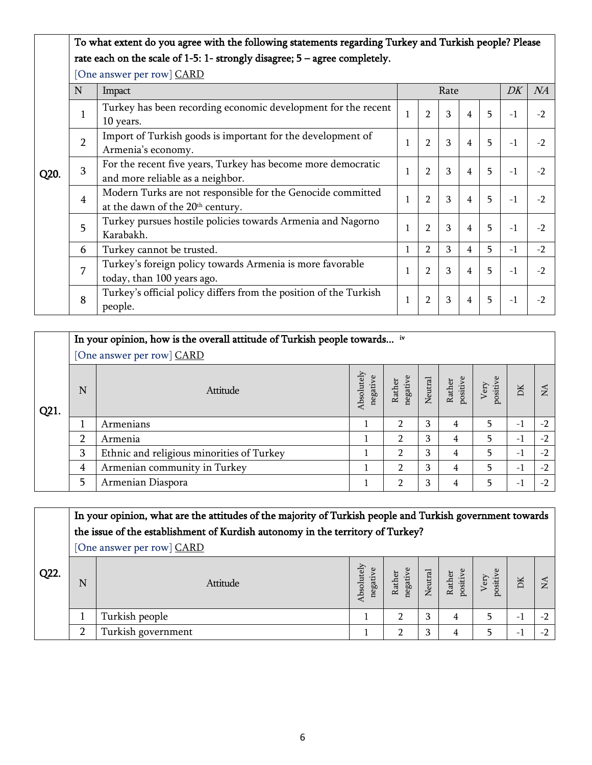### To what extent do you agree with the following statements regarding Turkey and Turkish people? Please rate each on the scale of 1-5: 1- strongly disagree; 5 – agree completely.

|      | N              | Impact                                                            |              |                | Rate |                |    | DK   | NA   |
|------|----------------|-------------------------------------------------------------------|--------------|----------------|------|----------------|----|------|------|
|      |                |                                                                   |              |                |      |                |    |      |      |
|      | $\mathbf{1}$   | Turkey has been recording economic development for the recent     | $\mathbf{1}$ | $\overline{2}$ | 3    | $\overline{4}$ | 5  | $-1$ | $-2$ |
|      |                | 10 years.                                                         |              |                |      |                |    |      |      |
|      |                | Import of Turkish goods is important for the development of       |              |                |      |                |    |      |      |
|      | $\overline{2}$ | Armenia's economy.                                                |              | $\overline{2}$ | 3    | $\overline{4}$ | 5  | $-1$ | $-2$ |
|      | 3              | For the recent five years, Turkey has become more democratic      |              |                |      |                |    |      |      |
| Q20. |                | and more reliable as a neighbor.                                  |              | $\overline{2}$ | 3    | $\overline{4}$ | 5  | $-1$ | $-2$ |
|      |                | Modern Turks are not responsible for the Genocide committed       |              | $\overline{2}$ | 3    | $\overline{4}$ | 5  | $-1$ | $-2$ |
|      | $\overline{4}$ | at the dawn of the 20 <sup>th</sup> century.                      |              |                |      |                |    |      |      |
|      | 5              | Turkey pursues hostile policies towards Armenia and Nagorno       |              | $\overline{2}$ | 3    | 4              | 5  | $-1$ | $-2$ |
|      |                | Karabakh.                                                         |              |                |      |                |    |      |      |
|      | 6              | Turkey cannot be trusted.                                         | 1            | $\overline{2}$ | 3    | 4              | 5. | $-1$ | $-2$ |
|      | 7              | Turkey's foreign policy towards Armenia is more favorable         |              | $\overline{2}$ | 3    | $\overline{4}$ | 5  | $-1$ | $-2$ |
|      |                | today, than 100 years ago.                                        |              |                |      |                |    |      |      |
|      | 8              | Turkey's official policy differs from the position of the Turkish |              |                | 3    | $\overline{4}$ | 5. | $-1$ | $-2$ |
|      |                | people.                                                           | 1            | $\overline{2}$ |      |                |    |      |      |

| Q21. |                | In your opinion, how is the overall attitude of Turkish people towards iv<br>[One answer per row] CARD |                        |                |   |                                                       |                                                |      |           |  |  |
|------|----------------|--------------------------------------------------------------------------------------------------------|------------------------|----------------|---|-------------------------------------------------------|------------------------------------------------|------|-----------|--|--|
|      | N              | Attitude                                                                                               | Absolutely<br>negative | Rather         |   | negative<br>Neutral<br>Rather<br>positive<br>positive | positive<br>$\ensuremath{\text{V}}\xspace$ ery | DK   | <b>NA</b> |  |  |
|      |                | Armenians                                                                                              |                        | $\mathfrak{p}$ | 3 | 4                                                     | 5                                              | $-1$ | $-2$      |  |  |
|      | $\overline{2}$ | Armenia                                                                                                |                        | $\mathfrak{p}$ | 3 | 4                                                     | 5                                              | $-1$ | $-2$      |  |  |
|      | 3              | Ethnic and religious minorities of Turkey                                                              |                        | $\mathfrak{p}$ | 3 | 4                                                     | 5                                              | $-1$ | $-2$      |  |  |
|      | 4              | Armenian community in Turkey                                                                           |                        | $\mathfrak{p}$ | 3 | 4                                                     | 5                                              | $-1$ | $-2$      |  |  |
|      | 5              | Armenian Diaspora                                                                                      |                        | $\mathcal{D}$  | 3 | 4                                                     | 5                                              | $-1$ | $-2$      |  |  |

| Q22. |   | In your opinion, what are the attitudes of the majority of Turkish people and Turkish government towards<br>the issue of the establishment of Kurdish autonomy in the territory of Turkey?<br>[One answer per row] CARD |                        |  |   |                                                               |                  |     |                      |
|------|---|-------------------------------------------------------------------------------------------------------------------------------------------------------------------------------------------------------------------------|------------------------|--|---|---------------------------------------------------------------|------------------|-----|----------------------|
|      | N | Attitude                                                                                                                                                                                                                | Absolutely<br>negative |  |   | Rather<br>negative<br>Neutral<br>Nather<br>Rather<br>positive | positive<br>Very | DK  | $\tilde{\mathbf{z}}$ |
|      |   | Turkish people                                                                                                                                                                                                          |                        |  | 3 | 4                                                             |                  | - 1 |                      |
|      |   | Turkish government                                                                                                                                                                                                      |                        |  | 3 | 4                                                             |                  | - 1 |                      |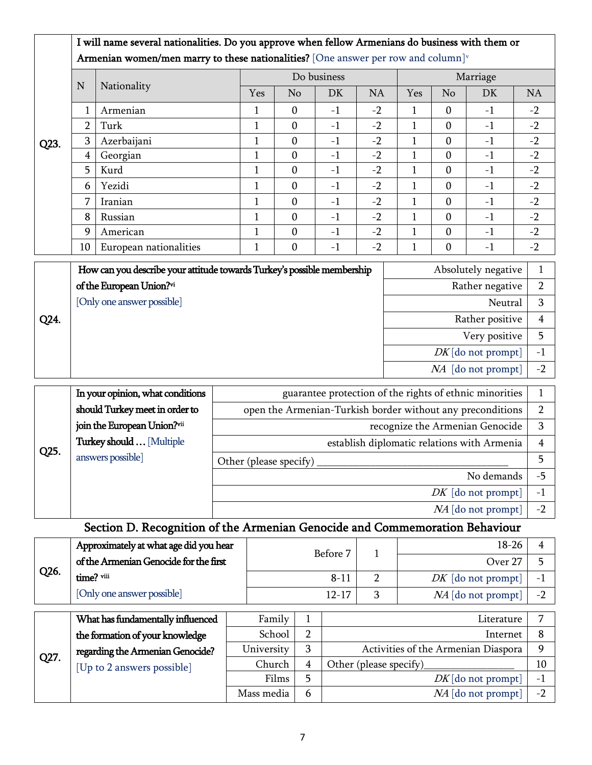|                   |                | I will name several nationalities. Do you approve when fellow Armenians do business with them or |              |                  |      |           |                                   |              |                                                         |                |  |
|-------------------|----------------|--------------------------------------------------------------------------------------------------|--------------|------------------|------|-----------|-----------------------------------|--------------|---------------------------------------------------------|----------------|--|
|                   |                | Armenian women/men marry to these nationalities? [One answer per row and column] $\mathbf{v}$    |              |                  |      |           |                                   |              |                                                         |                |  |
|                   | $\mathbf N$    |                                                                                                  |              | Do business      |      |           |                                   | Marriage     |                                                         |                |  |
|                   |                | Nationality                                                                                      | Yes          | No               | DK   | <b>NA</b> | Yes                               | No           | DK                                                      | <b>NA</b>      |  |
|                   |                | Armenian                                                                                         | $\mathbf{1}$ | $\boldsymbol{0}$ | $-1$ | $-2$      | $\mathbf{1}$                      | $\mathbf{0}$ | $-1$                                                    | $-2$           |  |
|                   | $\overline{2}$ | Turk                                                                                             | $\mathbf{1}$ | $\mathbf{0}$     | $-1$ | $-2$      | 1                                 | $\mathbf{0}$ | $-1$                                                    | $-2$           |  |
| Q23.              | 3              | Azerbaijani                                                                                      | $\mathbf{1}$ | $\boldsymbol{0}$ | $-1$ | $-2$      | $\mathbf{1}$                      | $\mathbf{0}$ | $-1$                                                    | $-2$           |  |
|                   | 4              | Georgian                                                                                         | $\mathbf{1}$ | $\boldsymbol{0}$ | $-1$ | $-2$      | $\mathbf{1}$                      | $\mathbf{0}$ | $-1$                                                    | $-2$           |  |
|                   | 5              | Kurd                                                                                             | $\mathbf{1}$ | $\boldsymbol{0}$ | $-1$ | $-2$      | $\mathbf{1}$                      | $\mathbf{0}$ | $-1$                                                    | $-2$           |  |
|                   | 6              | Yezidi                                                                                           | $\mathbf{1}$ | $\mathbf{0}$     | $-1$ | $-2$      | 1                                 | $\mathbf{0}$ | $-1$                                                    | $-2$           |  |
|                   | 7              | Iranian                                                                                          | $\mathbf{1}$ | $\mathbf{0}$     | $-1$ | $-2$      | 1                                 | $\mathbf{0}$ | $-1$                                                    | $-2$           |  |
|                   | 8              | Russian                                                                                          | $\mathbf{1}$ | $\mathbf{0}$     | $-1$ | $-2$      | 1                                 | $\mathbf{0}$ | $-1$                                                    | $-2$           |  |
|                   | 9              | American                                                                                         | $\mathbf{1}$ | $\mathbf{0}$     | $-1$ | $-2$      | $\mathbf{1}$                      | $\mathbf{0}$ | $-1$                                                    | $-2$           |  |
|                   | 10             | European nationalities                                                                           | $\mathbf{1}$ | $\boldsymbol{0}$ | $-1$ | $-2$      | 1                                 | $\mathbf{0}$ | $-1$                                                    | $-2$           |  |
|                   |                | How can you describe your attitude towards Turkey's possible membership                          |              |                  |      |           |                                   |              | Absolutely negative                                     | $\mathbf{1}$   |  |
|                   |                | of the European Union?vi                                                                         |              |                  |      |           | $\overline{2}$<br>Rather negative |              |                                                         |                |  |
|                   |                | [Only one answer possible]                                                                       |              |                  |      |           | 3<br>Neutral                      |              |                                                         |                |  |
| Q <sub>24</sub> . |                |                                                                                                  |              |                  |      |           |                                   |              | Rather positive                                         | $\overline{4}$ |  |
|                   |                |                                                                                                  |              |                  |      |           |                                   |              | Very positive                                           | 5              |  |
|                   |                |                                                                                                  |              |                  |      |           |                                   |              | $DK$ [do not prompt]                                    | $-1$           |  |
|                   |                |                                                                                                  |              |                  |      |           |                                   |              | NA [do not prompt]                                      | $-2$           |  |
|                   |                | In your opinion, what conditions                                                                 |              |                  |      |           |                                   |              | guarantee protection of the rights of ethnic minorities |                |  |

|      | In your opinion, what conditions | guarantee protection of the rights of ethnic minorities    |      |
|------|----------------------------------|------------------------------------------------------------|------|
|      | should Turkey meet in order to   | open the Armenian-Turkish border without any preconditions |      |
|      | join the European Union?vii      | recognize the Armenian Genocide                            |      |
| Q25. | Turkey should  [Multiple         | establish diplomatic relations with Armenia                |      |
|      | answers possible]                | Other (please specify)                                     |      |
|      |                                  | No demands                                                 |      |
|      |                                  | $DK$ [do not prompt]                                       | $-1$ |
|      |                                  | $NA$ [do not prompt]                                       | $-2$ |

# Section D. Recognition of the Armenian Genocide and Commemoration Behaviour

|      | Approximately at what age did you hear | Before 7  | $18 - 26$            |                          |
|------|----------------------------------------|-----------|----------------------|--------------------------|
|      | of the Armenian Genocide for the first |           | Over 27              |                          |
| Q26. | time? viii                             | $8 - 11$  | $DK$ [do not prompt] | $\overline{\phantom{a}}$ |
|      | [Only one answer possible]             | $12 - 17$ | $NA$ [do not prompt] | $-2$                     |
|      |                                        |           |                      |                          |

|      | What has fundamentally influenced | Family     |   | Literature                          |                          |
|------|-----------------------------------|------------|---|-------------------------------------|--------------------------|
|      | the formation of your knowledge   | School     |   | Internet                            |                          |
|      | regarding the Armenian Genocide?  | University |   | Activities of the Armenian Diaspora |                          |
| Q27. | [Up to 2 answers possible]        | Church     |   | Other (please specify)              | 10                       |
|      |                                   | Films      |   | $DK$ [do not prompt]                | $\overline{\phantom{0}}$ |
|      |                                   | Mass media | b | $NA$ [do not prompt]                | $-2$                     |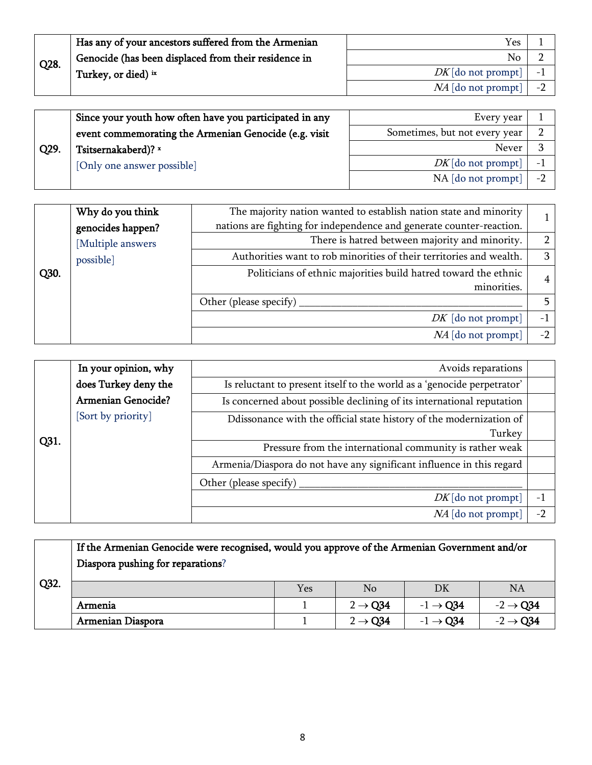|      | Has any of your ancestors suffered from the Armenian | Yes                             |      |
|------|------------------------------------------------------|---------------------------------|------|
| Q28. | Genocide (has been displaced from their residence in | No                              |      |
|      | Turkey, or died) ix                                  | $DK$ [do not prompt] $\vert$ -1 |      |
|      |                                                      | $NA$ [do not prompt]            | $-1$ |

|      | Since your youth how often have you participated in any | Every year                              |  |
|------|---------------------------------------------------------|-----------------------------------------|--|
|      | event commemorating the Armenian Genocide (e.g. visit   | Sometimes, but not every year           |  |
| Q29. | Tsitsernakaberd)? x                                     | Never                                   |  |
|      | [Only one answer possible]                              | $DK$ [do not prompt]<br>$-$             |  |
|      |                                                         | $NA$ [do not prompt]<br>$ \overline{ }$ |  |

|      | Why do you think<br>genocides happen? | The majority nation wanted to establish nation state and minority<br>nations are fighting for independence and generate counter-reaction. |               |
|------|---------------------------------------|-------------------------------------------------------------------------------------------------------------------------------------------|---------------|
|      | [Multiple answers                     | There is hatred between majority and minority.                                                                                            | $\mathcal{P}$ |
|      | possible]                             | Authorities want to rob minorities of their territories and wealth.                                                                       | 3             |
| Q30. |                                       | Politicians of ethnic majorities build hatred toward the ethnic                                                                           |               |
|      |                                       | minorities.                                                                                                                               |               |
|      |                                       | Other (please specify)                                                                                                                    |               |
|      |                                       | $DK$ [do not prompt]                                                                                                                      | $-1$          |
|      |                                       | $NA$ [do not prompt]                                                                                                                      | $-2$          |

|      | In your opinion, why      | Avoids reparations                                                      |      |
|------|---------------------------|-------------------------------------------------------------------------|------|
|      | does Turkey deny the      | Is reluctant to present itself to the world as a 'genocide perpetrator' |      |
|      | <b>Armenian Genocide?</b> | Is concerned about possible declining of its international reputation   |      |
|      | [Sort by priority]        | Ddissonance with the official state history of the modernization of     |      |
|      |                           | Turkey                                                                  |      |
| Q31. |                           | Pressure from the international community is rather weak                |      |
|      |                           | Armenia/Diaspora do not have any significant influence in this regard   |      |
|      |                           | Other (please specify)                                                  |      |
|      |                           | $DK$ [do not prompt]                                                    | $-1$ |
|      |                           | NA [do not prompt]                                                      | $-2$ |

|      | If the Armenian Genocide were recognised, would you approve of the Armenian Government and/or<br>Diaspora pushing for reparations? |     |                     |                      |                      |  |  |  |  |
|------|------------------------------------------------------------------------------------------------------------------------------------|-----|---------------------|----------------------|----------------------|--|--|--|--|
| Q32. |                                                                                                                                    | Yes | N <sub>0</sub>      | DK                   | <b>NA</b>            |  |  |  |  |
|      | Armenia                                                                                                                            |     | $2 \rightarrow Q34$ | $-1 \rightarrow Q34$ | $-2 \rightarrow Q34$ |  |  |  |  |
|      | Armenian Diaspora                                                                                                                  |     | $2 \rightarrow Q34$ | $-1 \rightarrow Q34$ | $-2 \rightarrow Q34$ |  |  |  |  |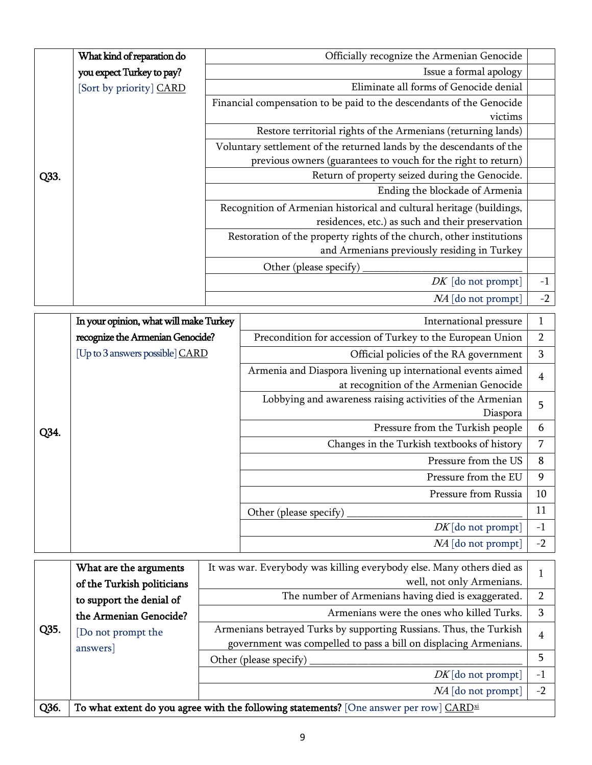|      | What kind of reparation do             | Officially recognize the Armenian Genocide |                                                                                                                 |                |  |  |  |  |
|------|----------------------------------------|--------------------------------------------|-----------------------------------------------------------------------------------------------------------------|----------------|--|--|--|--|
|      | you expect Turkey to pay?              |                                            | Issue a formal apology                                                                                          |                |  |  |  |  |
|      | [Sort by priority] CARD                |                                            | Eliminate all forms of Genocide denial                                                                          |                |  |  |  |  |
|      |                                        |                                            | Financial compensation to be paid to the descendants of the Genocide                                            |                |  |  |  |  |
|      |                                        |                                            | victims                                                                                                         |                |  |  |  |  |
|      |                                        |                                            | Restore territorial rights of the Armenians (returning lands)                                                   |                |  |  |  |  |
|      |                                        |                                            | Voluntary settlement of the returned lands by the descendants of the                                            |                |  |  |  |  |
| Q33. |                                        |                                            | previous owners (guarantees to vouch for the right to return)<br>Return of property seized during the Genocide. |                |  |  |  |  |
|      |                                        |                                            | Ending the blockade of Armenia                                                                                  |                |  |  |  |  |
|      |                                        |                                            | Recognition of Armenian historical and cultural heritage (buildings,                                            |                |  |  |  |  |
|      |                                        |                                            | residences, etc.) as such and their preservation                                                                |                |  |  |  |  |
|      |                                        |                                            | Restoration of the property rights of the church, other institutions                                            |                |  |  |  |  |
|      |                                        |                                            | and Armenians previously residing in Turkey                                                                     |                |  |  |  |  |
|      |                                        |                                            | Other (please specify)                                                                                          |                |  |  |  |  |
|      |                                        |                                            | $DK$ [do not prompt]                                                                                            | $-1$           |  |  |  |  |
|      |                                        |                                            | NA [do not prompt]                                                                                              | $-2$           |  |  |  |  |
|      | In your opinion, what will make Turkey |                                            | International pressure                                                                                          | $\mathbf{1}$   |  |  |  |  |
|      | recognize the Armenian Genocide?       |                                            | Precondition for accession of Turkey to the European Union                                                      | $\overline{2}$ |  |  |  |  |
|      | [Up to 3 answers possible] CARD        |                                            | Official policies of the RA government                                                                          |                |  |  |  |  |
|      |                                        |                                            | Armenia and Diaspora livening up international events aimed                                                     |                |  |  |  |  |
|      |                                        |                                            | at recognition of the Armenian Genocide                                                                         | 4              |  |  |  |  |
|      |                                        |                                            | Lobbying and awareness raising activities of the Armenian                                                       | 5              |  |  |  |  |
|      |                                        |                                            | Diaspora                                                                                                        |                |  |  |  |  |
| Q34. |                                        |                                            | Pressure from the Turkish people                                                                                | 6              |  |  |  |  |
|      |                                        |                                            | Changes in the Turkish textbooks of history                                                                     | $\overline{7}$ |  |  |  |  |
|      |                                        |                                            | Pressure from the US                                                                                            | 8              |  |  |  |  |
|      |                                        |                                            | Pressure from the EU                                                                                            | 9              |  |  |  |  |
|      |                                        |                                            | Pressure from Russia                                                                                            | 10             |  |  |  |  |
|      |                                        |                                            | Other (please specify)                                                                                          | 11             |  |  |  |  |
|      |                                        |                                            | $DK$ [do not prompt]                                                                                            | $-1$           |  |  |  |  |
|      |                                        |                                            | NA [do not prompt]                                                                                              | $-2$           |  |  |  |  |
|      | What are the arguments                 |                                            | It was war. Everybody was killing everybody else. Many others died as                                           |                |  |  |  |  |
|      | of the Turkish politicians             |                                            | well, not only Armenians.                                                                                       | $\mathbf{1}$   |  |  |  |  |
|      | to support the denial of               |                                            | The number of Armenians having died is exaggerated.                                                             | $\overline{2}$ |  |  |  |  |
|      | the Armenian Genocide?                 |                                            | Armenians were the ones who killed Turks.                                                                       | 3              |  |  |  |  |
| Q35. | [Do not prompt the                     |                                            | Armenians betrayed Turks by supporting Russians. Thus, the Turkish                                              | $\overline{4}$ |  |  |  |  |
|      |                                        |                                            |                                                                                                                 |                |  |  |  |  |

answers] government was compelled to pass a bill on displacing Armenians. Other (please specify) \_\_\_\_\_\_\_\_\_\_\_\_\_\_\_\_\_\_\_\_\_\_\_\_\_\_\_\_\_\_\_\_\_\_\_\_\_\_\_\_ 5  $DK[$ do not prompt $]$  -1 NA [do not prompt]  $\vert$  -2 Q36. To what extent do you agree with the following statements? [One answer per row]  $\frac{CARD^{xi}}{s}$  $\frac{CARD^{xi}}{s}$  $\frac{CARD^{xi}}{s}$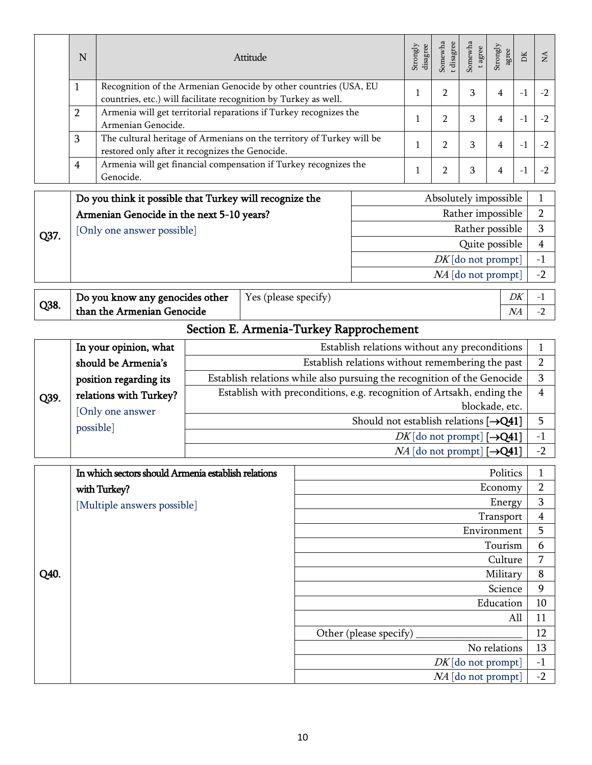|      | N              |                                                                                             | Attitude                                                                                                                             |                                                                         |                                                                                                   |                                                                                        |                    |                | Somewha<br>t disagree<br>t agree                                      | Strongly<br>agree   | ${\rm DK}$ | NA                             |
|------|----------------|---------------------------------------------------------------------------------------------|--------------------------------------------------------------------------------------------------------------------------------------|-------------------------------------------------------------------------|---------------------------------------------------------------------------------------------------|----------------------------------------------------------------------------------------|--------------------|----------------|-----------------------------------------------------------------------|---------------------|------------|--------------------------------|
|      | 1              | Recognition of the Armenian Genocide by other countries (USA, EU                            |                                                                                                                                      |                                                                         |                                                                                                   |                                                                                        | 1                  | $\overline{2}$ | 3                                                                     | 4                   | $-1$       | $-2$                           |
|      | $\overline{2}$ |                                                                                             | countries, etc.) will facilitate recognition by Turkey as well.<br>Armenia will get territorial reparations if Turkey recognizes the |                                                                         |                                                                                                   |                                                                                        |                    | $\overline{2}$ | 3                                                                     | 4                   | $-1$       | $-2$                           |
|      | 3              | Armenian Genocide.<br>The cultural heritage of Armenians on the territory of Turkey will be |                                                                                                                                      |                                                                         |                                                                                                   |                                                                                        | 1                  |                |                                                                       |                     |            |                                |
|      |                | restored only after it recognizes the Genocide.                                             |                                                                                                                                      |                                                                         |                                                                                                   |                                                                                        | 1                  | $\overline{2}$ | 3                                                                     | 4                   | $-1$       | $-2$                           |
|      | $\overline{4}$ | Armenia will get financial compensation if Turkey recognizes the<br>Genocide.               |                                                                                                                                      |                                                                         |                                                                                                   |                                                                                        | 1                  | 2              | 3                                                                     | 4                   | $-1$       | $-2$                           |
|      |                | Do you think it possible that Turkey will recognize the                                     |                                                                                                                                      |                                                                         |                                                                                                   |                                                                                        |                    |                | Absolutely impossible                                                 |                     |            | 1                              |
|      |                | Armenian Genocide in the next 5-10 years?                                                   |                                                                                                                                      |                                                                         |                                                                                                   |                                                                                        |                    |                | Rather impossible                                                     |                     |            | $\overline{2}$                 |
| Q37. |                | [Only one answer possible]                                                                  |                                                                                                                                      |                                                                         |                                                                                                   |                                                                                        |                    |                | Rather possible                                                       |                     |            | 3                              |
|      |                |                                                                                             |                                                                                                                                      |                                                                         |                                                                                                   |                                                                                        |                    |                | Quite possible                                                        |                     |            | 4                              |
|      |                |                                                                                             |                                                                                                                                      |                                                                         |                                                                                                   |                                                                                        |                    |                | $DK$ [do not prompt]                                                  |                     |            | $-1$<br>$-2$                   |
|      |                |                                                                                             |                                                                                                                                      |                                                                         |                                                                                                   |                                                                                        |                    |                | NA [do not prompt]                                                    |                     |            |                                |
| Q38. |                | Do you know any genocides other                                                             |                                                                                                                                      | Yes (please specify)                                                    |                                                                                                   |                                                                                        |                    |                |                                                                       |                     | DK         | $-1$                           |
|      |                | than the Armenian Genocide                                                                  |                                                                                                                                      |                                                                         |                                                                                                   |                                                                                        |                    |                |                                                                       |                     | NA         | $-2$                           |
|      |                |                                                                                             |                                                                                                                                      |                                                                         | Section E. Armenia-Turkey Rapprochement                                                           |                                                                                        |                    |                |                                                                       |                     |            |                                |
|      |                | In your opinion, what<br>should be Armenia's                                                |                                                                                                                                      |                                                                         | Establish relations without any preconditions<br>Establish relations without remembering the past |                                                                                        |                    |                |                                                                       |                     |            | $\mathbf{1}$<br>$\overline{2}$ |
|      |                | position regarding its                                                                      |                                                                                                                                      | Establish relations while also pursuing the recognition of the Genocide |                                                                                                   |                                                                                        |                    |                |                                                                       |                     |            | 3                              |
|      |                | relations with Turkey?                                                                      |                                                                                                                                      |                                                                         |                                                                                                   |                                                                                        |                    |                | Establish with preconditions, e.g. recognition of Artsakh, ending the |                     |            | 4                              |
| Q39. |                | [Only one answer                                                                            |                                                                                                                                      |                                                                         |                                                                                                   |                                                                                        |                    |                |                                                                       | blockade, etc.      |            |                                |
|      | possible]      |                                                                                             |                                                                                                                                      |                                                                         | Should not establish relations $[\rightarrow Q41]$                                                |                                                                                        |                    |                |                                                                       |                     |            | 5<br>$-1$                      |
|      |                |                                                                                             |                                                                                                                                      |                                                                         |                                                                                                   | $DK$ [do not prompt] [ $\rightarrow$ Q41]<br>$NA$ [do not prompt] [ $\rightarrow$ Q41] |                    |                |                                                                       |                     |            |                                |
|      |                |                                                                                             |                                                                                                                                      |                                                                         |                                                                                                   |                                                                                        |                    |                |                                                                       |                     |            | $-2$                           |
|      |                | In which sectors should Armenia establish relations                                         |                                                                                                                                      |                                                                         |                                                                                                   |                                                                                        |                    |                |                                                                       | Politics            |            | $\mathbf 1$                    |
|      |                | with Turkey?                                                                                |                                                                                                                                      |                                                                         |                                                                                                   |                                                                                        |                    |                |                                                                       | Economy             |            | $\overline{2}$                 |
|      |                | [Multiple answers possible]                                                                 |                                                                                                                                      |                                                                         |                                                                                                   |                                                                                        |                    |                |                                                                       | Energy<br>Transport |            | $\mathbf 3$<br>4               |
|      |                |                                                                                             |                                                                                                                                      |                                                                         |                                                                                                   |                                                                                        |                    |                |                                                                       | Environment         |            | 5                              |
|      |                |                                                                                             |                                                                                                                                      |                                                                         |                                                                                                   |                                                                                        |                    |                |                                                                       | Tourism             |            | 6                              |
|      |                |                                                                                             |                                                                                                                                      |                                                                         |                                                                                                   |                                                                                        |                    |                |                                                                       | Culture             |            | 7                              |
| Q40. |                |                                                                                             |                                                                                                                                      |                                                                         |                                                                                                   |                                                                                        |                    |                |                                                                       | Military            |            | 8                              |
|      |                |                                                                                             |                                                                                                                                      |                                                                         |                                                                                                   |                                                                                        |                    |                | Science<br>Education                                                  |                     | 9<br>10    |                                |
|      |                |                                                                                             |                                                                                                                                      |                                                                         |                                                                                                   |                                                                                        |                    |                |                                                                       |                     | All        | 11                             |
|      |                |                                                                                             |                                                                                                                                      |                                                                         |                                                                                                   | Other (please specify)                                                                 |                    |                |                                                                       |                     |            | 12                             |
|      |                |                                                                                             |                                                                                                                                      |                                                                         |                                                                                                   |                                                                                        |                    |                |                                                                       | No relations        |            | 13                             |
|      |                |                                                                                             |                                                                                                                                      |                                                                         |                                                                                                   |                                                                                        |                    |                | $DK$ [do not prompt]                                                  |                     |            | $-1$                           |
|      |                |                                                                                             |                                                                                                                                      |                                                                         |                                                                                                   |                                                                                        | NA [do not prompt] |                |                                                                       |                     |            | $-2$                           |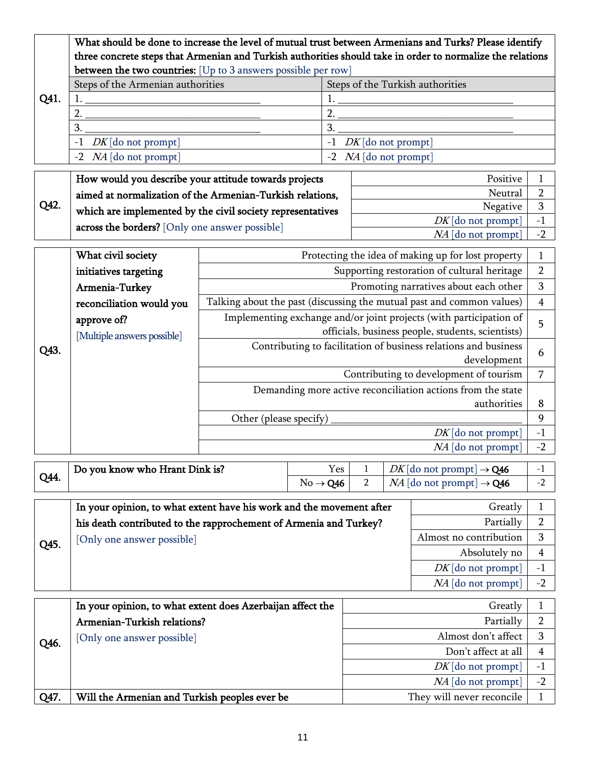|      | What should be done to increase the level of mutual trust between Armenians and Turks? Please identify<br>three concrete steps that Armenian and Turkish authorities should take in order to normalize the relations |                                                             |                      |                                                         |                     |  |                                                                       |                        |
|------|----------------------------------------------------------------------------------------------------------------------------------------------------------------------------------------------------------------------|-------------------------------------------------------------|----------------------|---------------------------------------------------------|---------------------|--|-----------------------------------------------------------------------|------------------------|
|      | between the two countries: [Up to 3 answers possible per row]                                                                                                                                                        |                                                             |                      |                                                         |                     |  |                                                                       |                        |
|      | Steps of the Armenian authorities                                                                                                                                                                                    |                                                             |                      | Steps of the Turkish authorities                        |                     |  |                                                                       |                        |
| Q41. |                                                                                                                                                                                                                      |                                                             | 1.                   |                                                         |                     |  |                                                                       |                        |
|      | 2.                                                                                                                                                                                                                   |                                                             | 2.                   |                                                         |                     |  |                                                                       |                        |
|      | 3.                                                                                                                                                                                                                   |                                                             | 3.                   |                                                         |                     |  |                                                                       |                        |
|      | $DK$ [do not prompt]<br>$-1$                                                                                                                                                                                         |                                                             |                      | $DK$ [do not prompt]<br>$-1$<br>-2 $NA$ [do not prompt] |                     |  |                                                                       |                        |
|      | $NA$ [do not prompt]<br>$-2$                                                                                                                                                                                         |                                                             |                      |                                                         |                     |  |                                                                       |                        |
|      | How would you describe your attitude towards projects                                                                                                                                                                |                                                             |                      |                                                         |                     |  | Positive                                                              | 1                      |
|      | aimed at normalization of the Armenian-Turkish relations,                                                                                                                                                            |                                                             |                      |                                                         |                     |  | Neutral                                                               | $\overline{2}$         |
| Q42. | which are implemented by the civil society representatives                                                                                                                                                           |                                                             |                      |                                                         |                     |  | Negative                                                              | 3                      |
|      | across the borders? [Only one answer possible]                                                                                                                                                                       |                                                             |                      |                                                         |                     |  | $DK$ [do not prompt]                                                  | $-1$                   |
|      |                                                                                                                                                                                                                      |                                                             |                      |                                                         |                     |  | NA [do not prompt]                                                    | $-2$                   |
|      | What civil society                                                                                                                                                                                                   |                                                             |                      |                                                         |                     |  | Protecting the idea of making up for lost property                    | $\mathbf{1}$           |
|      | initiatives targeting                                                                                                                                                                                                |                                                             |                      |                                                         |                     |  | Supporting restoration of cultural heritage                           | $\overline{2}$         |
|      | Armenia-Turkey                                                                                                                                                                                                       |                                                             |                      |                                                         |                     |  | Promoting narratives about each other                                 | 3                      |
|      | reconciliation would you                                                                                                                                                                                             |                                                             |                      |                                                         |                     |  | Talking about the past (discussing the mutual past and common values) | $\overline{4}$         |
|      | Implementing exchange and/or joint projects (with participation of<br>approve of?                                                                                                                                    |                                                             |                      |                                                         |                     |  |                                                                       |                        |
|      |                                                                                                                                                                                                                      | officials, business people, students, scientists)           |                      |                                                         |                     |  |                                                                       | 5                      |
| Q43. | [Multiple answers possible]                                                                                                                                                                                          |                                                             |                      |                                                         |                     |  | Contributing to facilitation of business relations and business       |                        |
|      |                                                                                                                                                                                                                      | development                                                 |                      |                                                         |                     |  |                                                                       | 6                      |
|      |                                                                                                                                                                                                                      |                                                             |                      |                                                         |                     |  | Contributing to development of tourism                                | 7                      |
|      |                                                                                                                                                                                                                      | Demanding more active reconciliation actions from the state |                      |                                                         |                     |  |                                                                       |                        |
|      |                                                                                                                                                                                                                      | authorities                                                 |                      |                                                         |                     |  | 8                                                                     |                        |
|      |                                                                                                                                                                                                                      | Other (please specify)                                      |                      |                                                         |                     |  |                                                                       | 9                      |
|      |                                                                                                                                                                                                                      | $DK$ [do not prompt]                                        |                      |                                                         |                     |  | $-1$                                                                  |                        |
|      |                                                                                                                                                                                                                      | NA [do not prompt]                                          |                      |                                                         |                     |  | $-2$                                                                  |                        |
|      | Do you know who Hrant Dink is?                                                                                                                                                                                       |                                                             |                      | Yes                                                     |                     |  | $DK$ [do not prompt] $\rightarrow$ <b>Q46</b>                         | $-1$                   |
| Q44. |                                                                                                                                                                                                                      |                                                             | $No \rightarrow Q46$ |                                                         | $\overline{2}$      |  | $NA$ [do not prompt] $\rightarrow$ <b>Q46</b>                         | $-2$                   |
|      |                                                                                                                                                                                                                      |                                                             |                      |                                                         |                     |  |                                                                       |                        |
|      | In your opinion, to what extent have his work and the movement after                                                                                                                                                 |                                                             |                      |                                                         |                     |  | Greatly                                                               | $\mathbf{1}$           |
|      | his death contributed to the rapprochement of Armenia and Turkey?                                                                                                                                                    |                                                             |                      |                                                         |                     |  | Partially                                                             | $\overline{2}$         |
| Q45. | [Only one answer possible]                                                                                                                                                                                           |                                                             |                      |                                                         |                     |  | Almost no contribution                                                | $\mathbf{3}$           |
|      |                                                                                                                                                                                                                      |                                                             |                      |                                                         |                     |  | Absolutely no                                                         | 4                      |
|      |                                                                                                                                                                                                                      |                                                             |                      |                                                         |                     |  | $DK$ [do not prompt]                                                  | $-1$                   |
|      |                                                                                                                                                                                                                      |                                                             |                      |                                                         |                     |  | $NA$ [do not prompt]                                                  | $-2$                   |
|      | In your opinion, to what extent does Azerbaijan affect the                                                                                                                                                           |                                                             |                      |                                                         |                     |  | Greatly                                                               | $\mathbf{1}$           |
|      | Armenian-Turkish relations?                                                                                                                                                                                          |                                                             |                      |                                                         |                     |  | Partially                                                             | $\overline{2}$         |
|      | [Only one answer possible]                                                                                                                                                                                           |                                                             |                      |                                                         |                     |  | Almost don't affect                                                   | 3                      |
| Q46. |                                                                                                                                                                                                                      |                                                             |                      |                                                         | Don't affect at all |  |                                                                       |                        |
|      |                                                                                                                                                                                                                      |                                                             |                      |                                                         |                     |  | $DK$ [do not prompt]                                                  | $\overline{4}$<br>$-1$ |
|      |                                                                                                                                                                                                                      |                                                             |                      |                                                         |                     |  | $NA$ [do not prompt]                                                  | $-2$                   |
| Q47. | Will the Armenian and Turkish peoples ever be                                                                                                                                                                        |                                                             |                      |                                                         |                     |  | They will never reconcile                                             | $\mathbf{1}$           |